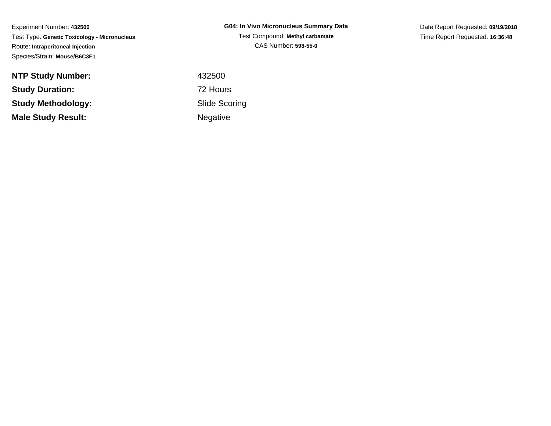**NTP Study Number:Study Duration:Study Methodology:Male Study Result:**

**G04: In Vivo Micronucleus Summary Data**Test Compound: **Methyl carbamate**CAS Number: **598-55-0**

Date Report Requested: **09/19/2018**Time Report Requested: **16:36:48**

 <sup>432500</sup> 72 Hours Slide ScoringNegative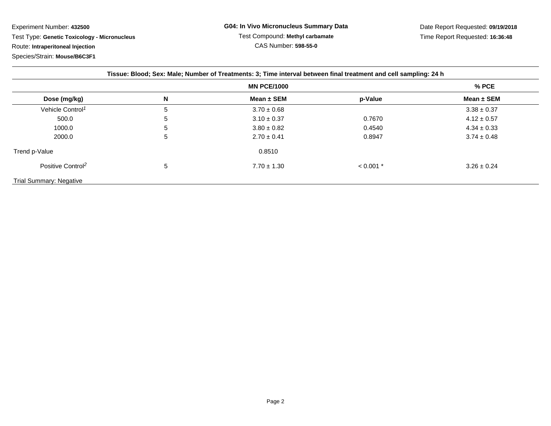| Tissue: Blood; Sex: Male; Number of Treatments: 3; Time interval between final treatment and cell sampling: 24 h |                    |                 |             |                 |
|------------------------------------------------------------------------------------------------------------------|--------------------|-----------------|-------------|-----------------|
|                                                                                                                  | <b>MN PCE/1000</b> |                 |             | % PCE           |
| Dose (mg/kg)                                                                                                     | N                  | Mean $\pm$ SEM  | p-Value     | Mean $\pm$ SEM  |
| Vehicle Control <sup>1</sup>                                                                                     | 5                  | $3.70 \pm 0.68$ |             | $3.38 \pm 0.37$ |
| 500.0                                                                                                            | 5                  | $3.10 \pm 0.37$ | 0.7670      | $4.12 \pm 0.57$ |
| 1000.0                                                                                                           | 5                  | $3.80 \pm 0.82$ | 0.4540      | $4.34 \pm 0.33$ |
| 2000.0                                                                                                           | 5                  | $2.70 \pm 0.41$ | 0.8947      | $3.74 \pm 0.48$ |
| Trend p-Value                                                                                                    |                    | 0.8510          |             |                 |
| Positive Control <sup>2</sup>                                                                                    | 5                  | $7.70 \pm 1.30$ | $< 0.001$ * | $3.26 \pm 0.24$ |
| Trial Summary: Negative                                                                                          |                    |                 |             |                 |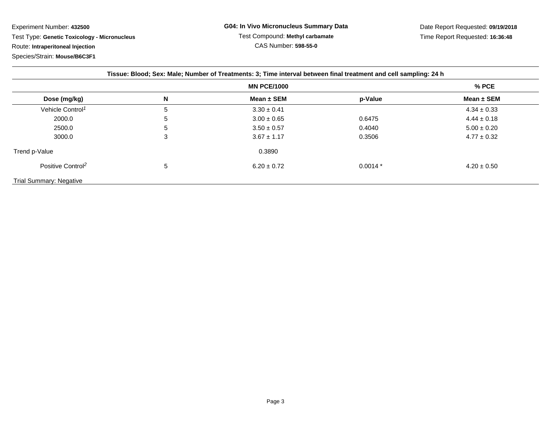| Tissue: Blood; Sex: Male; Number of Treatments: 3; Time interval between final treatment and cell sampling: 24 h |                    |                 |           |                 |
|------------------------------------------------------------------------------------------------------------------|--------------------|-----------------|-----------|-----------------|
|                                                                                                                  | <b>MN PCE/1000</b> |                 |           | % PCE           |
| Dose (mg/kg)                                                                                                     | N                  | Mean $\pm$ SEM  | p-Value   | Mean $\pm$ SEM  |
| Vehicle Control <sup>1</sup>                                                                                     | 5                  | $3.30 \pm 0.41$ |           | $4.34 \pm 0.33$ |
| 2000.0                                                                                                           | 5                  | $3.00 \pm 0.65$ | 0.6475    | $4.44 \pm 0.18$ |
| 2500.0                                                                                                           | 5                  | $3.50 \pm 0.57$ | 0.4040    | $5.00 \pm 0.20$ |
| 3000.0                                                                                                           | 3                  | $3.67 \pm 1.17$ | 0.3506    | $4.77 \pm 0.32$ |
| Trend p-Value                                                                                                    |                    | 0.3890          |           |                 |
| Positive Control <sup>2</sup>                                                                                    | 5                  | $6.20 \pm 0.72$ | $0.0014*$ | $4.20 \pm 0.50$ |
| <b>Trial Summary: Negative</b>                                                                                   |                    |                 |           |                 |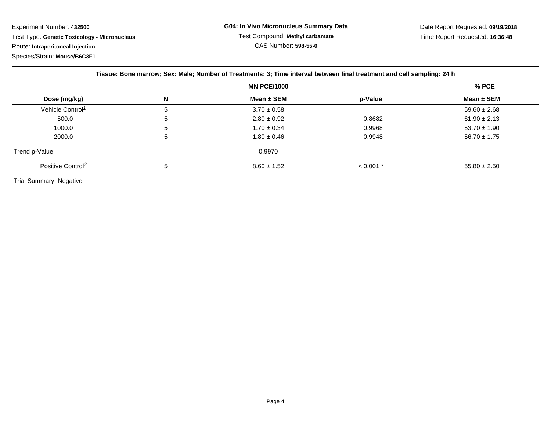Experiment Number: **432500** Test Type: **Genetic Toxicology - Micronucleus**Route: **Intraperitoneal Injection**

Species/Strain: **Mouse/B6C3F1**

| Tissue: Bone marrow; Sex: Male; Number of Treatments: 3; Time interval between final treatment and cell sampling: 24 h |                    |                 |             |                  |
|------------------------------------------------------------------------------------------------------------------------|--------------------|-----------------|-------------|------------------|
|                                                                                                                        | <b>MN PCE/1000</b> |                 |             | $%$ PCE          |
| Dose (mg/kg)                                                                                                           | N                  | Mean $\pm$ SEM  | p-Value     | Mean $\pm$ SEM   |
| Vehicle Control <sup>1</sup>                                                                                           | 5                  | $3.70 \pm 0.58$ |             | $59.60 \pm 2.68$ |
| 500.0                                                                                                                  | 5                  | $2.80 \pm 0.92$ | 0.8682      | $61.90 \pm 2.13$ |
| 1000.0                                                                                                                 | 5                  | $1.70 \pm 0.34$ | 0.9968      | $53.70 \pm 1.90$ |
| 2000.0                                                                                                                 | 5                  | $1.80 \pm 0.46$ | 0.9948      | $56.70 \pm 1.75$ |
| Trend p-Value                                                                                                          |                    | 0.9970          |             |                  |
| Positive Control <sup>2</sup>                                                                                          | 5                  | $8.60 \pm 1.52$ | $< 0.001$ * | $55.80 \pm 2.50$ |
| Trial Summary: Negative                                                                                                |                    |                 |             |                  |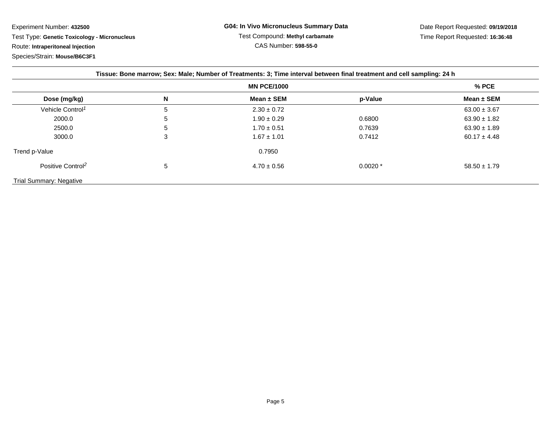Experiment Number: **432500** Test Type: **Genetic Toxicology - Micronucleus**Route: **Intraperitoneal Injection**

Species/Strain: **Mouse/B6C3F1**

| Tissue: Bone marrow; Sex: Male; Number of Treatments: 3; Time interval between final treatment and cell sampling: 24 h |                    |                 |           |                  |
|------------------------------------------------------------------------------------------------------------------------|--------------------|-----------------|-----------|------------------|
|                                                                                                                        | <b>MN PCE/1000</b> |                 |           | $%$ PCE          |
| Dose (mg/kg)                                                                                                           | N                  | Mean $\pm$ SEM  | p-Value   | Mean $\pm$ SEM   |
| Vehicle Control <sup>1</sup>                                                                                           | 5                  | $2.30 \pm 0.72$ |           | $63.00 \pm 3.67$ |
| 2000.0                                                                                                                 | 5                  | $1.90 \pm 0.29$ | 0.6800    | $63.90 \pm 1.82$ |
| 2500.0                                                                                                                 | 5                  | $1.70 \pm 0.51$ | 0.7639    | $63.90 \pm 1.89$ |
| 3000.0                                                                                                                 | 3                  | $1.67 \pm 1.01$ | 0.7412    | $60.17 \pm 4.48$ |
| Trend p-Value                                                                                                          |                    | 0.7950          |           |                  |
| Positive Control <sup>2</sup>                                                                                          | 5                  | $4.70 \pm 0.56$ | $0.0020*$ | $58.50 \pm 1.79$ |
| <b>Trial Summary: Negative</b>                                                                                         |                    |                 |           |                  |